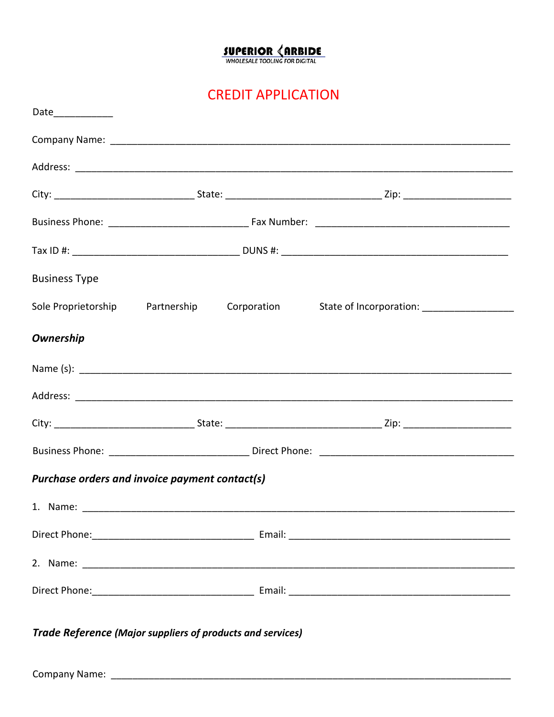## $\underbrace{\textbf{SUPERIOR} \textcolor{red}{\bigotimes \textbf{RBDIDE}}_{\textbf{WHOLESALE TOOLING FOR DIGITAL}}$

**CREDIT APPLICATION** 

| Date____________                  |                                                            |                                             |
|-----------------------------------|------------------------------------------------------------|---------------------------------------------|
|                                   |                                                            |                                             |
|                                   |                                                            |                                             |
|                                   |                                                            |                                             |
|                                   |                                                            |                                             |
|                                   |                                                            |                                             |
| <b>Business Type</b>              |                                                            |                                             |
| Sole Proprietorship   Partnership | Corporation                                                | State of Incorporation: ___________________ |
| <b>Ownership</b>                  |                                                            |                                             |
|                                   |                                                            |                                             |
|                                   |                                                            |                                             |
|                                   |                                                            |                                             |
|                                   |                                                            |                                             |
|                                   | Purchase orders and invoice payment contact(s)             |                                             |
|                                   |                                                            |                                             |
|                                   |                                                            |                                             |
|                                   |                                                            |                                             |
|                                   |                                                            |                                             |
|                                   | Trade Reference (Major suppliers of products and services) |                                             |